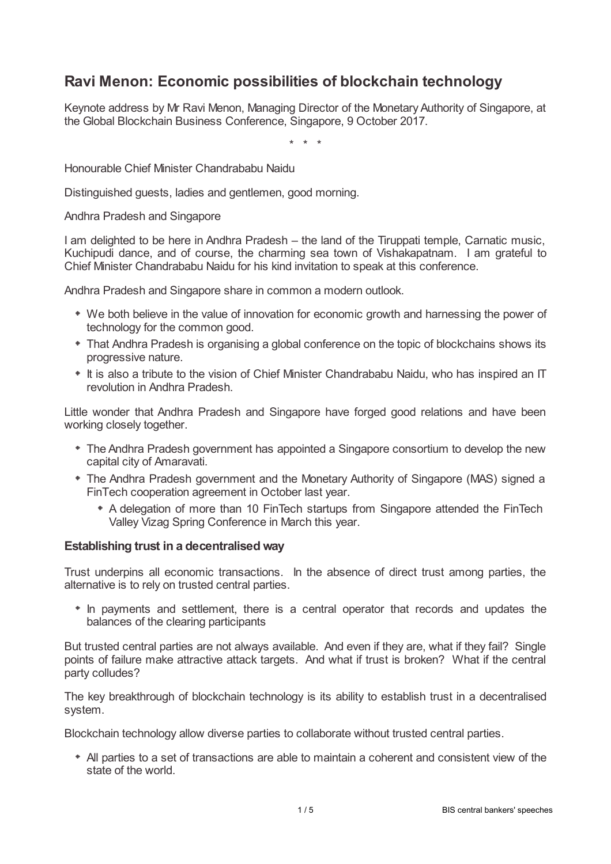# **Ravi Menon: Economic possibilities of blockchain technology**

Keynote address by Mr Ravi Menon, Managing Director of the Monetary Authority of Singapore, at the Global Blockchain Business Conference, Singapore, 9 October 2017.

\* \* \*

Honourable Chief Minister Chandrababu Naidu

Distinguished guests, ladies and gentlemen, good morning.

Andhra Pradesh and Singapore

I am delighted to be here in Andhra Pradesh – the land of the Tiruppati temple, Carnatic music, Kuchipudi dance, and of course, the charming sea town of Vishakapatnam. I am grateful to Chief Minister Chandrababu Naidu for his kind invitation to speak at this conference.

Andhra Pradesh and Singapore share in common a modern outlook.

- We both believe in the value of innovation for economic growth and harnessing the power of technology for the common good.
- That Andhra Pradesh is organising a global conference on the topic of blockchains shows its progressive nature.
- $*$  It is also a tribute to the vision of Chief Minister Chandrababu Naidu, who has inspired an IT revolution in Andhra Pradesh.

Little wonder that Andhra Pradesh and Singapore have forged good relations and have been working closely together.

- The Andhra Pradesh government has appointed a Singapore consortium to develop the new capital city of Amaravati.
- The Andhra Pradesh government and the Monetary Authority of Singapore (MAS) signed a FinTech cooperation agreement in October last year.
	- A delegation of more than 10 FinTech startups from Singapore attended the FinTech Valley Vizag Spring Conference in March this year.

### **Establishing trust in a decentralised way**

Trust underpins all economic transactions. In the absence of direct trust among parties, the alternative is to rely on trusted central parties.

• In payments and settlement, there is a central operator that records and updates the balances of the clearing participants

But trusted central parties are not always available. And even if they are, what if they fail? Single points of failure make attractive attack targets. And what if trust is broken? What if the central party colludes?

The key breakthrough of blockchain technology is its ability to establish trust in a decentralised system.

Blockchain technology allow diverse parties to collaborate without trusted central parties.

All parties to a set of transactions are able to maintain a coherent and consistent view of the state of the world.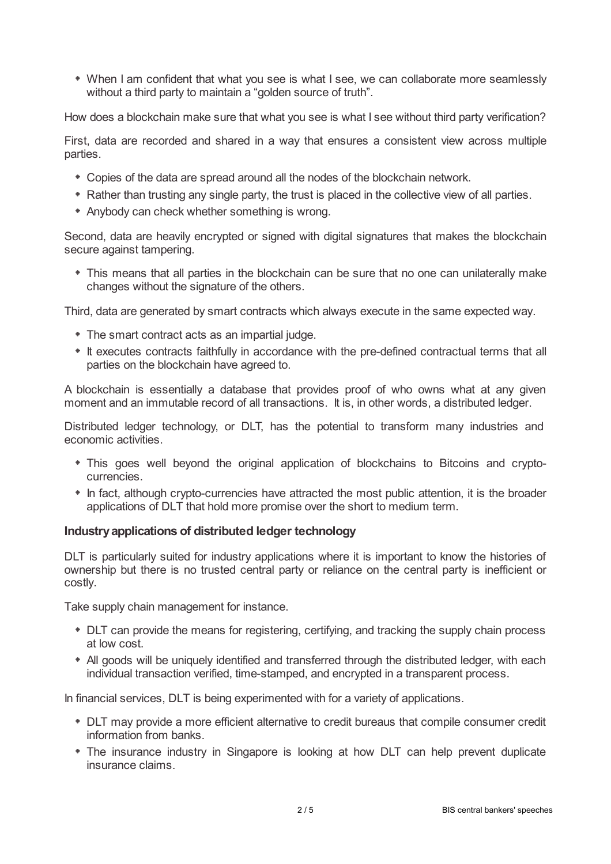When I am confident that what you see is what I see, we can collaborate more seamlessly without a third party to maintain a "golden source of truth".

How does a blockchain make sure that what you see is what I see without third party verification?

First, data are recorded and shared in a way that ensures a consistent view across multiple parties.

- Copies of the data are spread around all the nodes of the blockchain network.
- Rather than trusting any single party, the trust is placed in the collective view of all parties.
- Anybody can check whether something is wrong.

Second, data are heavily encrypted or signed with digital signatures that makes the blockchain secure against tampering.

This means that all parties in the blockchain can be sure that no one can unilaterally make changes without the signature of the others.

Third, data are generated by smart contracts which always execute in the same expected way.

- The smart contract acts as an impartial judge.
- $*$  It executes contracts faithfully in accordance with the pre-defined contractual terms that all parties on the blockchain have agreed to.

A blockchain is essentially a database that provides proof of who owns what at any given moment and an immutable record of all transactions. It is, in other words, a distributed ledger.

Distributed ledger technology, or DLT, has the potential to transform many industries and economic activities.

- This goes well beyond the original application of blockchains to Bitcoins and cryptocurrencies.
- In fact, although crypto-currencies have attracted the most public attention, it is the broader applications of DLT that hold more promise over the short to medium term.

### **Industryapplications of distributed ledger technology**

DLT is particularly suited for industry applications where it is important to know the histories of ownership but there is no trusted central party or reliance on the central party is inefficient or costly.

Take supply chain management for instance.

- DLT can provide the means for registering, certifying, and tracking the supply chain process at low cost.
- All goods will be uniquely identified and transferred through the distributed ledger, with each individual transaction verified, time-stamped, and encrypted in a transparent process.

In financial services, DLT is being experimented with for a variety of applications.

- DLT may provide a more efficient alternative to credit bureaus that compile consumer credit information from banks.
- The insurance industry in Singapore is looking at how DLT can help prevent duplicate insurance claims.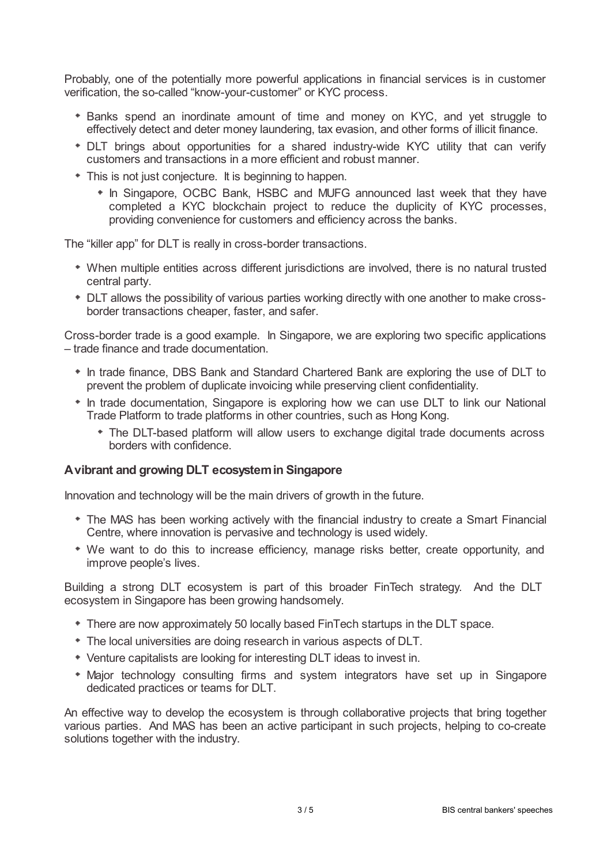Probably, one of the potentially more powerful applications in financial services is in customer verification, the so-called "know-your-customer" or KYC process.

- Banks spend an inordinate amount of time and money on KYC, and yet struggle to effectively detect and deter money laundering, tax evasion, and other forms of illicit finance.
- DLT brings about opportunities for a shared industry-wide KYC utility that can verify customers and transactions in a more efficient and robust manner.
- This is not just conjecture. It is beginning to happen.
	- In Singapore, OCBC Bank, HSBC and MUFG announced last week that they have completed a KYC blockchain project to reduce the duplicity of KYC processes, providing convenience for customers and efficiency across the banks.

The "killer app" for DLT is really in cross-border transactions.

- When multiple entities across different jurisdictions are involved, there is no natural trusted central party.
- DLT allows the possibility of various parties working directly with one another to make crossborder transactions cheaper, faster, and safer.

Cross-border trade is a good example. In Singapore, we are exploring two specific applications – trade finance and trade documentation.

- In trade finance, DBS Bank and Standard Chartered Bank are exploring the use of DLT to prevent the problem of duplicate invoicing while preserving client confidentiality.
- \* In trade documentation, Singapore is exploring how we can use DLT to link our National Trade Platform to trade platforms in other countries, such as Hong Kong.
	- The DLT-based platform will allow users to exchange digital trade documents across borders with confidence.

### **Avibrant and growing DLT ecosystemin Singapore**

Innovation and technology will be the main drivers of growth in the future.

- The MAS has been working actively with the financial industry to create a Smart Financial Centre, where innovation is pervasive and technology is used widely.
- We want to do this to increase efficiency, manage risks better, create opportunity, and improve people's lives.

Building a strong DLT ecosystem is part of this broader FinTech strategy. And the DLT ecosystem in Singapore has been growing handsomely.

- There are now approximately 50 locally based FinTech startups in the DLT space.
- The local universities are doing research in various aspects of DLT.
- Venture capitalists are looking for interesting DLT ideas to invest in.
- Major technology consulting firms and system integrators have set up in Singapore dedicated practices or teams for DLT.

An effective way to develop the ecosystem is through collaborative projects that bring together various parties. And MAS has been an active participant in such projects, helping to co-create solutions together with the industry.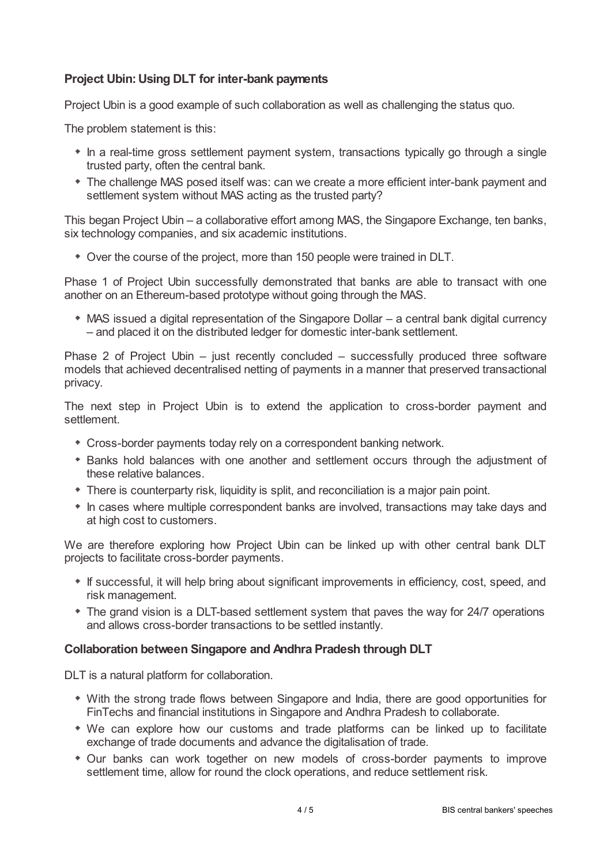## **Project Ubin:Using DLT for inter-bank payments**

Project Ubin is a good example of such collaboration as well as challenging the status quo.

The problem statement is this:

- In a real-time gross settlement payment system, transactions typically go through a single trusted party, often the central bank.
- The challenge MAS posed itself was: can we create a more efficient inter-bank payment and settlement system without MAS acting as the trusted party?

This began Project Ubin – a collaborative effort among MAS, the Singapore Exchange, ten banks, six technology companies, and six academic institutions.

Over the course of the project, more than 150 people were trained in DLT.

Phase 1 of Project Ubin successfully demonstrated that banks are able to transact with one another on an Ethereum-based prototype without going through the MAS.

MAS issued a digital representation of the Singapore Dollar – a central bank digital currency – and placed it on the distributed ledger for domestic inter-bank settlement.

Phase 2 of Project Ubin – just recently concluded – successfully produced three software models that achieved decentralised netting of payments in a manner that preserved transactional privacy.

The next step in Project Ubin is to extend the application to cross-border payment and settlement.

- Cross-border payments today rely on a correspondent banking network.
- Banks hold balances with one another and settlement occurs through the adjustment of these relative balances.
- There is counterparty risk, liquidity is split, and reconciliation is a major pain point.
- In cases where multiple correspondent banks are involved, transactions may take days and at high cost to customers.

We are therefore exploring how Project Ubin can be linked up with other central bank DLT projects to facilitate cross-border payments.

- If successful, it will help bring about significant improvements in efficiency, cost, speed, and risk management.
- The grand vision is a DLT-based settlement system that paves the way for 24/7 operations and allows cross-border transactions to be settled instantly.

### **Collaboration between Singapore and Andhra Pradesh through DLT**

DLT is a natural platform for collaboration.

- With the strong trade flows between Singapore and India, there are good opportunities for FinTechs and financial institutions in Singapore and Andhra Pradesh to collaborate.
- We can explore how our customs and trade platforms can be linked up to facilitate exchange of trade documents and advance the digitalisation of trade.
- Our banks can work together on new models of cross-border payments to improve settlement time, allow for round the clock operations, and reduce settlement risk.